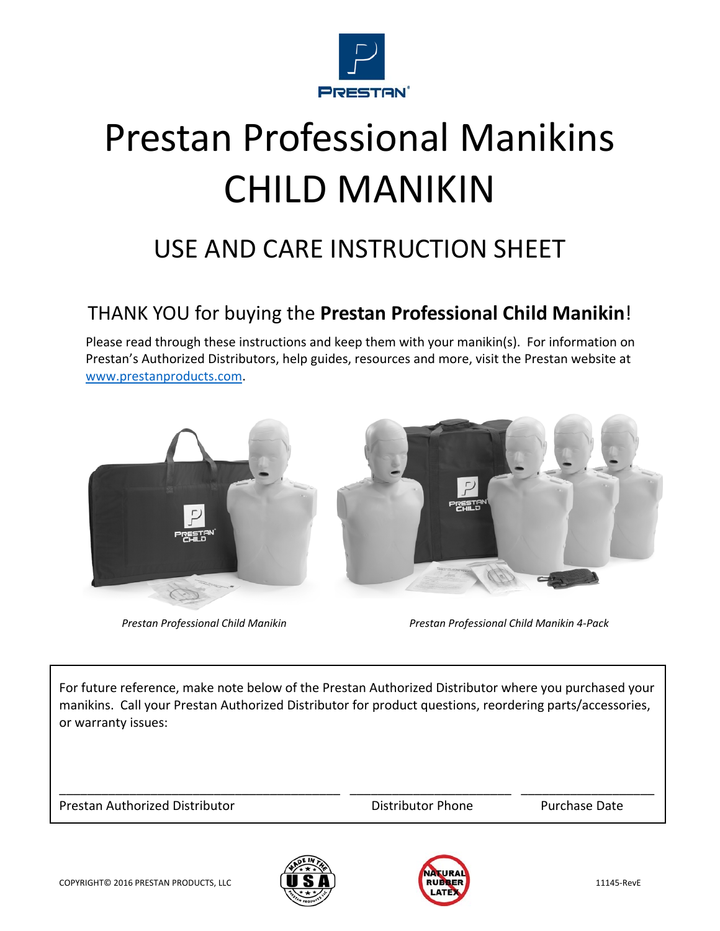

# Prestan Professional Manikins CHILD MANIKIN

# USE AND CARE INSTRUCTION SHEET

#### THANK YOU for buying the **Prestan Professional Child Manikin**!

Please read through these instructions and keep them with your manikin(s). For information on Prestan's Authorized Distributors, help guides, resources and more, visit the Prestan website at www.prestanproducts.com.



*Prestan Professional Child Manikin Prestan Professional Child Manikin 4‐Pack*

For future reference, make note below of the Prestan Authorized Distributor where you purchased your manikins. Call your Prestan Authorized Distributor for product questions, reordering parts/accessories, or warranty issues:

\_\_\_\_\_\_\_\_\_\_\_\_\_\_\_\_\_\_\_\_\_\_\_\_\_\_\_\_\_\_\_\_\_\_\_\_\_\_\_\_ \_\_\_\_\_\_\_\_\_\_\_\_\_\_\_\_\_\_\_\_\_\_\_ \_\_\_\_\_\_\_\_\_\_\_\_\_\_\_\_\_\_\_

Prestan Authorized Distributor **by Communist Contract Contract Prestan Authorized Distributor** Phone *Purchase Date* 



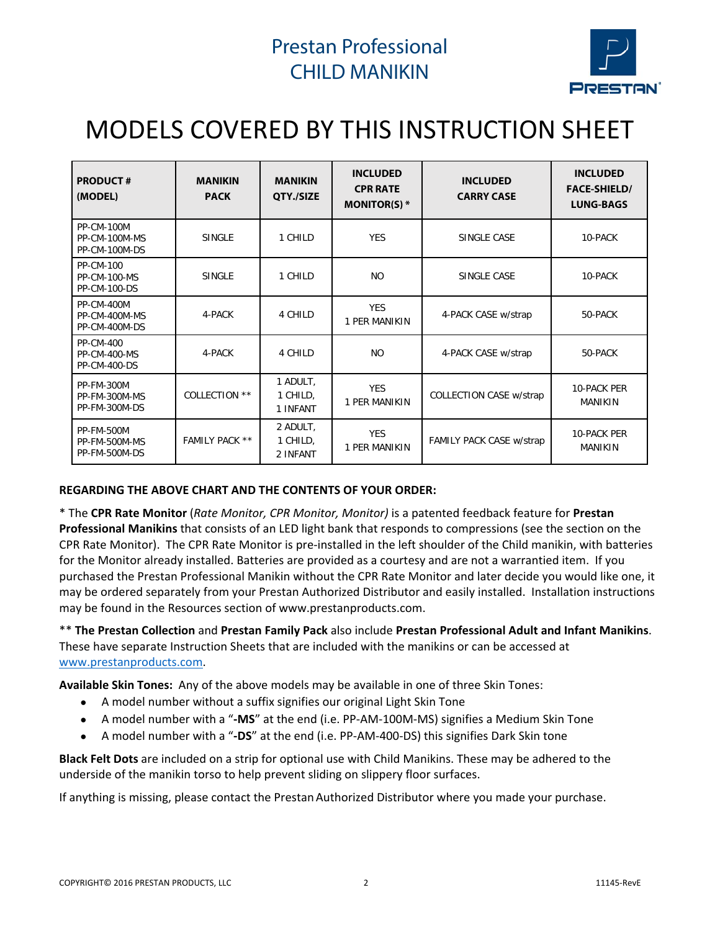

# MODELS COVERED BY THIS INSTRUCTION SHEET

| <b>PRODUCT#</b><br>(MODEL)                              | <b>MANIKIN</b><br><b>PACK</b> | <b>MANIKIN</b><br>QTY./SIZE      | <b>INCLUDED</b><br><b>CPR RATE</b><br>MONITOR(S) $*$ | <b>INCLUDED</b><br><b>CARRY CASE</b> | <b>INCLUDED</b><br><b>FACE-SHIELD/</b><br><b>LUNG-BAGS</b> |
|---------------------------------------------------------|-------------------------------|----------------------------------|------------------------------------------------------|--------------------------------------|------------------------------------------------------------|
| <b>PP-CM-100M</b><br>PP-CM-100M-MS<br>PP-CM-100M-DS     | <b>SINGLE</b>                 | 1 CHILD                          | <b>YES</b>                                           | SINGLE CASE                          | 10-PACK                                                    |
| <b>PP-CM-100</b><br><b>PP-CM-100-MS</b><br>PP-CM-100-DS | <b>SINGLE</b>                 | 1 CHILD                          | <b>NO</b>                                            | SINGLE CASE                          | 10-PACK                                                    |
| PP-CM-400M<br>PP-CM-400M-MS<br>PP-CM-400M-DS            | 4-PACK                        | 4 CHILD                          | <b>YES</b><br>1 PER MANIKIN                          | 4-PACK CASE w/strap                  | 50-PACK                                                    |
| PP-CM-400<br><b>PP-CM-400-MS</b><br><b>PP-CM-400-DS</b> | 4-PACK                        | 4 CHILD                          | <b>NO</b>                                            | 4-PACK CASE w/strap                  | 50-PACK                                                    |
| <b>PP-FM-300M</b><br>PP-FM-300M-MS<br>PP-FM-300M-DS     | COLLECTION **                 | 1 ADULT,<br>1 CHILD,<br>1 INFANT | <b>YES</b><br>1 PER MANIKIN                          | COLLECTION CASE w/strap              | 10-PACK PER<br><b>MANIKIN</b>                              |
| <b>PP-FM-500M</b><br>PP-FM-500M-MS<br>PP-FM-500M-DS     | FAMILY PACK **                | 2 ADULT,<br>1 CHILD,<br>2 INFANT | <b>YES</b><br>1 PER MANIKIN                          | FAMILY PACK CASE w/strap             | 10-PACK PER<br><b>MANIKIN</b>                              |

#### **REGARDING THE ABOVE CHART AND THE CONTENTS OF YOUR ORDER:**

\* The **CPR Rate Monitor** (*Rate Monitor, CPR Monitor, Monitor)* is a patented feedback feature for **Prestan Professional Manikins** that consists of an LED light bank that responds to compressions (see the section on the CPR Rate Monitor). The CPR Rate Monitor is pre‐installed in the left shoulder of the Child manikin, with batteries for the Monitor already installed. Batteries are provided as a courtesy and are not a warrantied item. If you purchased the Prestan Professional Manikin without the CPR Rate Monitor and later decide you would like one, it may be ordered separately from your Prestan Authorized Distributor and easily installed. Installation instructions may be found in the Resources section of www.prestanproducts.com.

\*\* **The Prestan Collection** and **Prestan Family Pack** also include **Prestan Professional Adult and Infant Manikins**. These have separate Instruction Sheets that are included with the manikins or can be accessed at www.prestanproducts.com.

**Available Skin Tones:** Any of the above models may be available in one of three Skin Tones:

- A model number without a suffix signifies our original Light Skin Tone
- A model number with a "**‐MS**" at the end (i.e. PP‐AM‐100M‐MS) signifies a Medium Skin Tone
- A model number with a "**‐DS**" at the end (i.e. PP‐AM‐400‐DS) this signifies Dark Skin tone

**Black Felt Dots** are included on a strip for optional use with Child Manikins. These may be adhered to the underside of the manikin torso to help prevent sliding on slippery floor surfaces.

If anything is missing, please contact the Prestan Authorized Distributor where you made your purchase.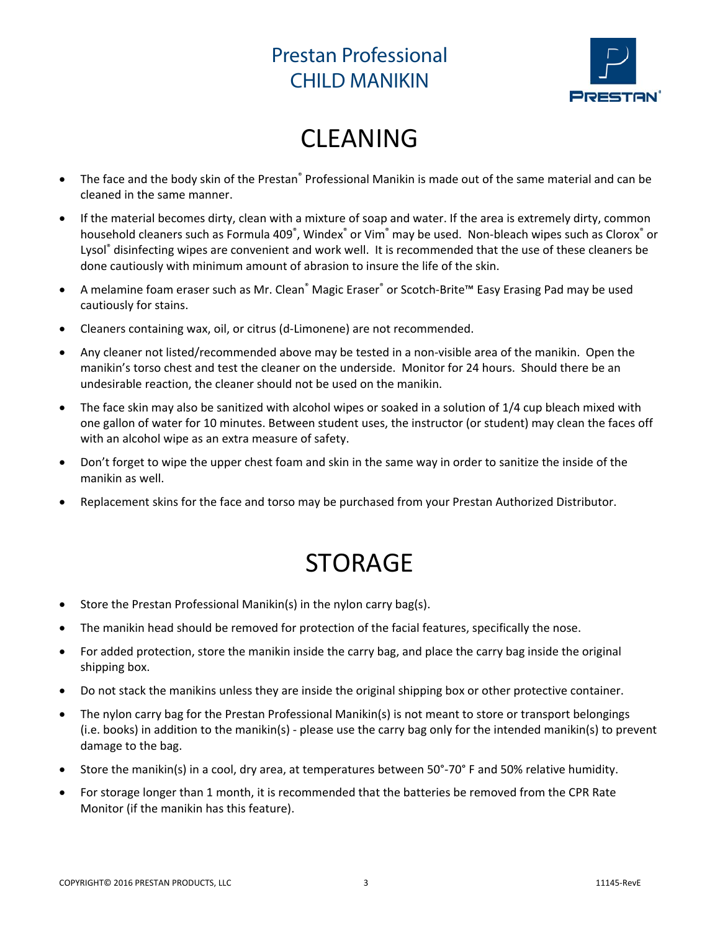

# CLEANING

- The face and the body skin of the Prestan® Professional Manikin is made out of the same material and can be cleaned in the same manner.
- If the material becomes dirty, clean with a mixture of soap and water. If the area is extremely dirty, common household cleaners such as Formula 409<sup>°</sup>, Windex<sup>°</sup> or Vim<sup>®</sup> may be used. Non-bleach wipes such as Clorox<sup>°</sup> or Lysol® disinfecting wipes are convenient and work well. It is recommended that the use of these cleaners be done cautiously with minimum amount of abrasion to insure the life of the skin.
- A melamine foam eraser such as Mr. Clean® Magic Eraser® or Scotch‐Brite™ Easy Erasing Pad may be used cautiously for stains.
- Cleaners containing wax, oil, or citrus (d-Limonene) are not recommended.
- Any cleaner not listed/recommended above may be tested in a non-visible area of the manikin. Open the manikin's torso chest and test the cleaner on the underside. Monitor for 24 hours. Should there be an undesirable reaction, the cleaner should not be used on the manikin.
- The face skin may also be sanitized with alcohol wipes or soaked in a solution of 1/4 cup bleach mixed with one gallon of water for 10 minutes. Between student uses, the instructor (or student) may clean the faces off with an alcohol wipe as an extra measure of safety.
- Don't forget to wipe the upper chest foam and skin in the same way in order to sanitize the inside of the manikin as well.
- Replacement skins for the face and torso may be purchased from your Prestan Authorized Distributor.

# STORAGE

- Store the Prestan Professional Manikin(s) in the nylon carry bag(s).
- The manikin head should be removed for protection of the facial features, specifically the nose.
- For added protection, store the manikin inside the carry bag, and place the carry bag inside the original shipping box.
- Do not stack the manikins unless they are inside the original shipping box or other protective container.
- The nylon carry bag for the Prestan Professional Manikin(s) is not meant to store or transport belongings (i.e. books) in addition to the manikin(s) ‐ please use the carry bag only for the intended manikin(s) to prevent damage to the bag.
- Store the manikin(s) in a cool, dry area, at temperatures between 50°‐70° F and 50% relative humidity.
- For storage longer than 1 month, it is recommended that the batteries be removed from the CPR Rate Monitor (if the manikin has this feature).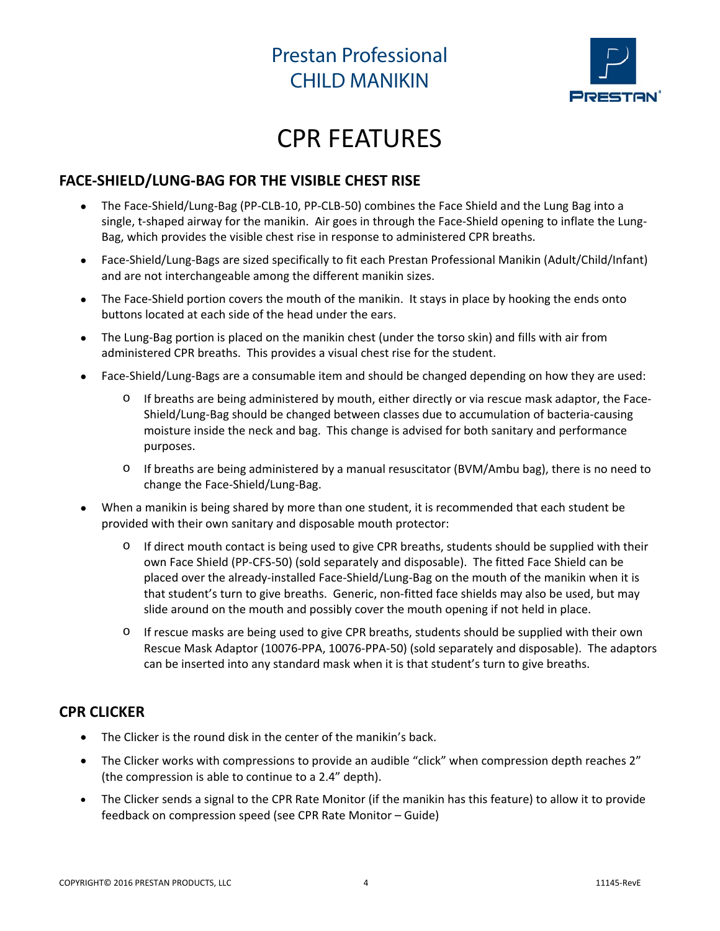

# CPR FEATURES

#### **FACE‐SHIELD/LUNG‐BAG FOR THE VISIBLE CHEST RISE**

- The Face‐Shield/Lung‐Bag (PP‐CLB‐10, PP‐CLB‐50) combines the Face Shield and the Lung Bag into a single, t-shaped airway for the manikin. Air goes in through the Face-Shield opening to inflate the Lung-Bag, which provides the visible chest rise in response to administered CPR breaths.
- Face‐Shield/Lung‐Bags are sized specifically to fit each Prestan Professional Manikin (Adult/Child/Infant) and are not interchangeable among the different manikin sizes.
- The Face-Shield portion covers the mouth of the manikin. It stays in place by hooking the ends onto buttons located at each side of the head under the ears.
- The Lung‐Bag portion is placed on the manikin chest (under the torso skin) and fills with air from administered CPR breaths. This provides a visual chest rise for the student.
- Face‐Shield/Lung‐Bags are a consumable item and should be changed depending on how they are used:
	- If breaths are being administered by mouth, either directly or via rescue mask adaptor, the Face-Shield/Lung‐Bag should be changed between classes due to accumulation of bacteria‐causing moisture inside the neck and bag. This change is advised for both sanitary and performance purposes.
	- $\circ$  If breaths are being administered by a manual resuscitator (BVM/Ambu bag), there is no need to change the Face‐Shield/Lung‐Bag.
- When a manikin is being shared by more than one student, it is recommended that each student be provided with their own sanitary and disposable mouth protector:
	- o If direct mouth contact is being used to give CPR breaths, students should be supplied with their own Face Shield (PP‐CFS‐50) (sold separately and disposable). The fitted Face Shield can be placed over the already‐installed Face‐Shield/Lung‐Bag on the mouth of the manikin when it is that student's turn to give breaths. Generic, non-fitted face shields may also be used, but may slide around on the mouth and possibly cover the mouth opening if not held in place.
	- o If rescue masks are being used to give CPR breaths, students should be supplied with their own Rescue Mask Adaptor (10076‐PPA, 10076‐PPA‐50) (sold separately and disposable). The adaptors can be inserted into any standard mask when it is that student's turn to give breaths.

#### **CPR CLICKER**

- The Clicker is the round disk in the center of the manikin's back.
- The Clicker works with compressions to provide an audible "click" when compression depth reaches 2" (the compression is able to continue to a 2.4" depth).
- The Clicker sends a signal to the CPR Rate Monitor (if the manikin has this feature) to allow it to provide feedback on compression speed (see CPR Rate Monitor – Guide)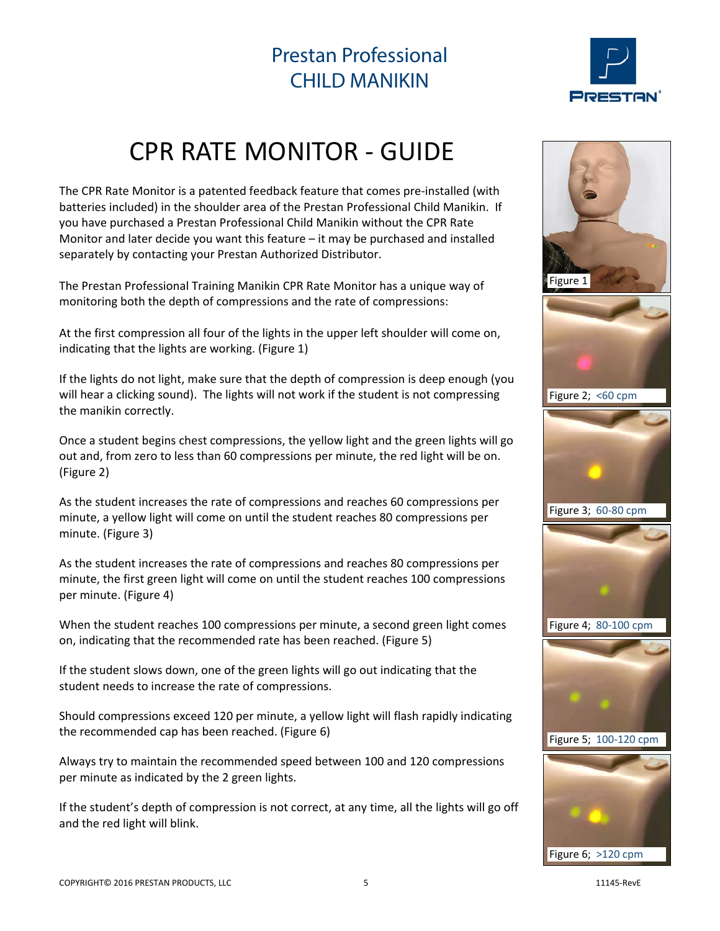

# CPR RATE MONITOR ‐ GUIDE

The CPR Rate Monitor is a patented feedback feature that comes pre‐installed (with batteries included) in the shoulder area of the Prestan Professional Child Manikin. If you have purchased a Prestan Professional Child Manikin without the CPR Rate Monitor and later decide you want this feature – it may be purchased and installed separately by contacting your Prestan Authorized Distributor.

The Prestan Professional Training Manikin CPR Rate Monitor has a unique way of monitoring both the depth of compressions and the rate of compressions:

At the first compression all four of the lights in the upper left shoulder will come on, indicating that the lights are working. (Figure 1)

If the lights do not light, make sure that the depth of compression is deep enough (you will hear a clicking sound). The lights will not work if the student is not compressing the manikin correctly.

Once a student begins chest compressions, the yellow light and the green lights will go out and, from zero to less than 60 compressions per minute, the red light will be on. (Figure 2)

As the student increases the rate of compressions and reaches 60 compressions per minute, a yellow light will come on until the student reaches 80 compressions per minute. (Figure 3)

As the student increases the rate of compressions and reaches 80 compressions per minute, the first green light will come on until the student reaches 100 compressions per minute. (Figure 4)

When the student reaches 100 compressions per minute, a second green light comes on, indicating that the recommended rate has been reached. (Figure 5)

If the student slows down, one of the green lights will go out indicating that the student needs to increase the rate of compressions.

Should compressions exceed 120 per minute, a yellow light will flash rapidly indicating the recommended cap has been reached. (Figure 6)

Always try to maintain the recommended speed between 100 and 120 compressions per minute as indicated by the 2 green lights.

If the student's depth of compression is not correct, at any time, all the lights will go off and the red light will blink.

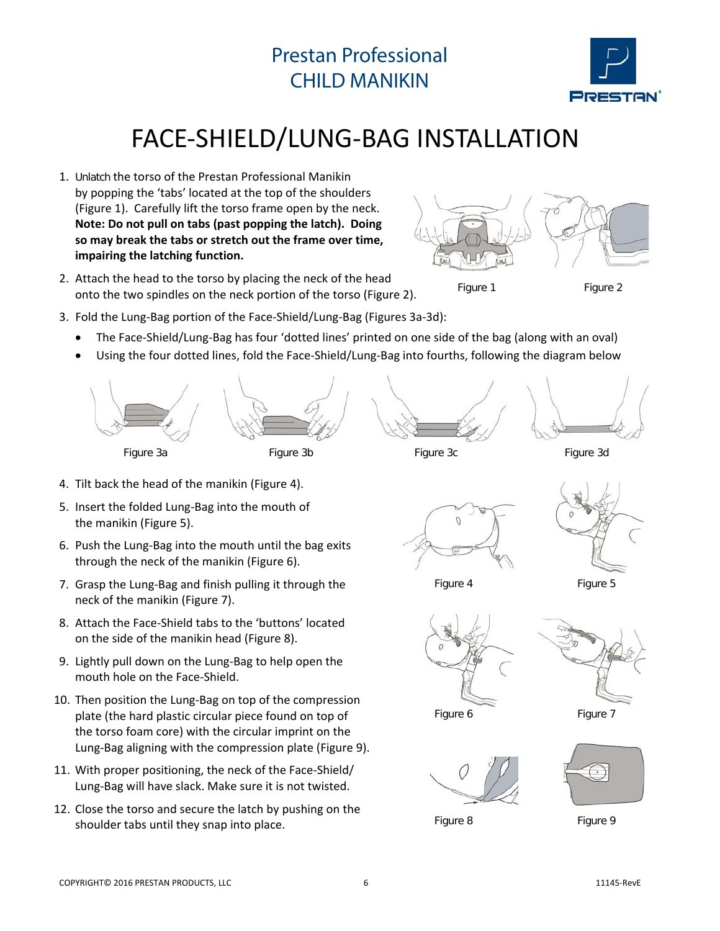

# FACE‐SHIELD/LUNG‐BAG INSTALLATION

- 1. Unlatch the torso of the Prestan Professional Manikin by popping the 'tabs' located at the top of the shoulders (Figure 1). Carefully lift the torso frame open by the neck. **Note: Do not pull on tabs (past popping the latch). Doing so may break the tabs or stretch out the frame over time, impairing the latching function.**
- 2. Attach the head to the torso by placing the neck of the head onto the two spindles on the neck portion of the torso (Figure 2).



Figure 1 Figure 2

- 3. Fold the Lung‐Bag portion of the Face‐Shield/Lung‐Bag (Figures 3a‐3d):
	- The Face‐Shield/Lung‐Bag has four 'dotted lines' printed on one side of the bag (along with an oval)
	- Using the four dotted lines, fold the Face‐Shield/Lung‐Bag into fourths, following the diagram below



- 4. Tilt back the head of the manikin (Figure 4).
- 5. Insert the folded Lung‐Bag into the mouth of the manikin (Figure 5).
- 6. Push the Lung‐Bag into the mouth until the bag exits through the neck of the manikin (Figure 6).
- 7. Grasp the Lung‐Bag and finish pulling it through the neck of the manikin (Figure 7).
- 8. Attach the Face‐Shield tabs to the 'buttons' located on the side of the manikin head (Figure 8).
- 9. Lightly pull down on the Lung‐Bag to help open the mouth hole on the Face‐Shield.
- 10. Then position the Lung-Bag on top of the compression plate (the hard plastic circular piece found on top of the torso foam core) with the circular imprint on the Lung‐Bag aligning with the compression plate (Figure 9).
- 11. With proper positioning, the neck of the Face-Shield/ Lung‐Bag will have slack. Make sure it is not twisted.
- 12. Close the torso and secure the latch by pushing on the shoulder tabs until they snap into place.



Figure 4 Figure 5





Figure 6 Figure 7



Figure 8 Figure 9

 $\widehat{(\cdot)}$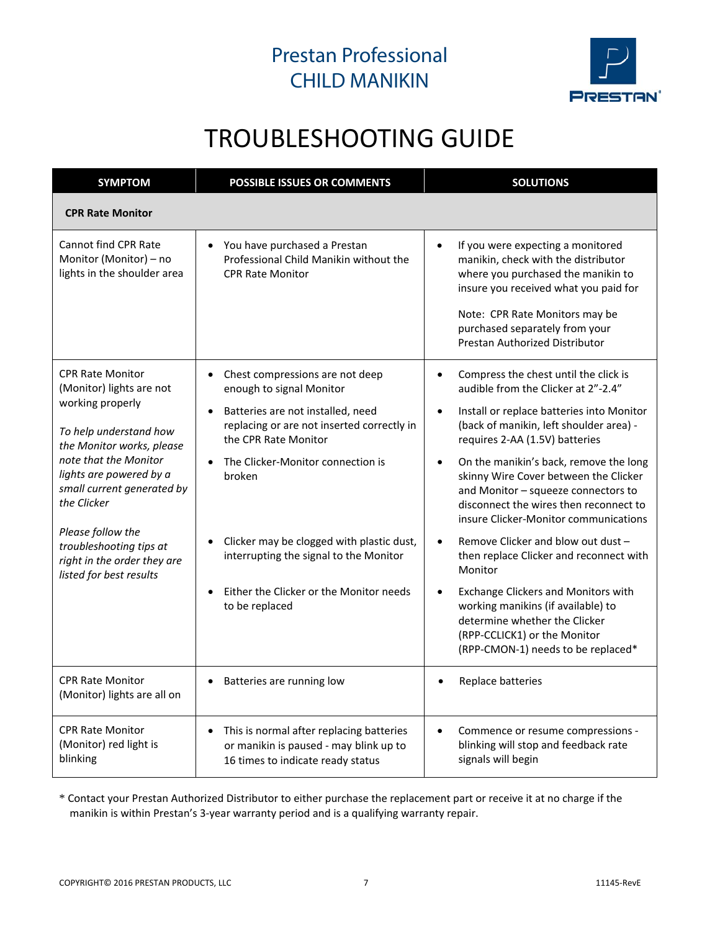

# TROUBLESHOOTING GUIDE

| <b>SYMPTOM</b>                                                                                                                                                                                                                                                                                                                            | <b>POSSIBLE ISSUES OR COMMENTS</b>                                                                                   | <b>SOLUTIONS</b>                                                                                                                                                                                                                                                                  |  |
|-------------------------------------------------------------------------------------------------------------------------------------------------------------------------------------------------------------------------------------------------------------------------------------------------------------------------------------------|----------------------------------------------------------------------------------------------------------------------|-----------------------------------------------------------------------------------------------------------------------------------------------------------------------------------------------------------------------------------------------------------------------------------|--|
| <b>CPR Rate Monitor</b>                                                                                                                                                                                                                                                                                                                   |                                                                                                                      |                                                                                                                                                                                                                                                                                   |  |
| Cannot find CPR Rate<br>Monitor (Monitor) - no<br>lights in the shoulder area                                                                                                                                                                                                                                                             | You have purchased a Prestan<br>$\bullet$<br>Professional Child Manikin without the<br><b>CPR Rate Monitor</b>       | If you were expecting a monitored<br>$\bullet$<br>manikin, check with the distributor<br>where you purchased the manikin to<br>insure you received what you paid for<br>Note: CPR Rate Monitors may be<br>purchased separately from your<br><b>Prestan Authorized Distributor</b> |  |
| <b>CPR Rate Monitor</b><br>(Monitor) lights are not<br>working properly<br>To help understand how<br>the Monitor works, please<br>note that the Monitor<br>lights are powered by a<br>small current generated by<br>the Clicker<br>Please follow the<br>troubleshooting tips at<br>right in the order they are<br>listed for best results | Chest compressions are not deep<br>$\bullet$<br>enough to signal Monitor                                             | Compress the chest until the click is<br>$\bullet$<br>audible from the Clicker at 2"-2.4"                                                                                                                                                                                         |  |
|                                                                                                                                                                                                                                                                                                                                           | Batteries are not installed, need<br>$\bullet$<br>replacing or are not inserted correctly in<br>the CPR Rate Monitor | Install or replace batteries into Monitor<br>(back of manikin, left shoulder area) -<br>requires 2-AA (1.5V) batteries                                                                                                                                                            |  |
|                                                                                                                                                                                                                                                                                                                                           | The Clicker-Monitor connection is<br>broken                                                                          | On the manikin's back, remove the long<br>skinny Wire Cover between the Clicker<br>and Monitor - squeeze connectors to<br>disconnect the wires then reconnect to<br>insure Clicker-Monitor communications                                                                         |  |
|                                                                                                                                                                                                                                                                                                                                           | Clicker may be clogged with plastic dust,<br>interrupting the signal to the Monitor                                  | Remove Clicker and blow out dust -<br>then replace Clicker and reconnect with<br>Monitor                                                                                                                                                                                          |  |
|                                                                                                                                                                                                                                                                                                                                           | Either the Clicker or the Monitor needs<br>to be replaced                                                            | Exchange Clickers and Monitors with<br>working manikins (if available) to<br>determine whether the Clicker<br>(RPP-CCLICK1) or the Monitor<br>(RPP-CMON-1) needs to be replaced*                                                                                                  |  |
| <b>CPR Rate Monitor</b><br>(Monitor) lights are all on                                                                                                                                                                                                                                                                                    | Batteries are running low<br>$\bullet$                                                                               | Replace batteries                                                                                                                                                                                                                                                                 |  |
| <b>CPR Rate Monitor</b><br>This is normal after replacing batteries<br>$\bullet$<br>(Monitor) red light is<br>or manikin is paused - may blink up to<br>blinking<br>16 times to indicate ready status                                                                                                                                     |                                                                                                                      | Commence or resume compressions -<br>$\bullet$<br>blinking will stop and feedback rate<br>signals will begin                                                                                                                                                                      |  |

\* Contact your Prestan Authorized Distributor to either purchase the replacement part or receive it at no charge if the manikin is within Prestan's 3‐year warranty period and is a qualifying warranty repair.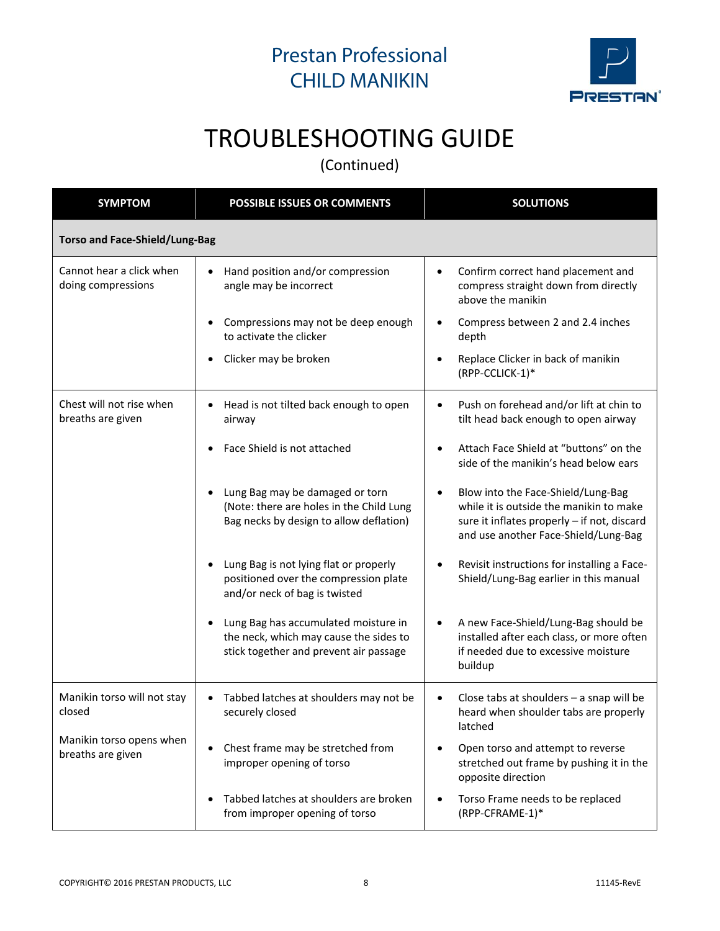

# TROUBLESHOOTING GUIDE

(Continued)

| <b>SYMPTOM</b>                                 | <b>POSSIBLE ISSUES OR COMMENTS</b>                                                                                       | <b>SOLUTIONS</b>                                                                                                                                                     |  |  |  |  |
|------------------------------------------------|--------------------------------------------------------------------------------------------------------------------------|----------------------------------------------------------------------------------------------------------------------------------------------------------------------|--|--|--|--|
| <b>Torso and Face-Shield/Lung-Bag</b>          |                                                                                                                          |                                                                                                                                                                      |  |  |  |  |
| Cannot hear a click when<br>doing compressions | Hand position and/or compression<br>$\bullet$<br>angle may be incorrect                                                  | Confirm correct hand placement and<br>compress straight down from directly<br>above the manikin                                                                      |  |  |  |  |
|                                                | Compressions may not be deep enough<br>to activate the clicker                                                           | Compress between 2 and 2.4 inches<br>depth                                                                                                                           |  |  |  |  |
|                                                | Clicker may be broken                                                                                                    | Replace Clicker in back of manikin<br>(RPP-CCLICK-1)*                                                                                                                |  |  |  |  |
| Chest will not rise when<br>breaths are given  | Head is not tilted back enough to open<br>$\bullet$<br>airway                                                            | Push on forehead and/or lift at chin to<br>tilt head back enough to open airway                                                                                      |  |  |  |  |
|                                                | Face Shield is not attached                                                                                              | Attach Face Shield at "buttons" on the<br>side of the manikin's head below ears                                                                                      |  |  |  |  |
|                                                | Lung Bag may be damaged or torn<br>(Note: there are holes in the Child Lung<br>Bag necks by design to allow deflation)   | Blow into the Face-Shield/Lung-Bag<br>while it is outside the manikin to make<br>sure it inflates properly - if not, discard<br>and use another Face-Shield/Lung-Bag |  |  |  |  |
|                                                | Lung Bag is not lying flat or properly<br>positioned over the compression plate<br>and/or neck of bag is twisted         | Revisit instructions for installing a Face-<br>Shield/Lung-Bag earlier in this manual                                                                                |  |  |  |  |
|                                                | Lung Bag has accumulated moisture in<br>the neck, which may cause the sides to<br>stick together and prevent air passage | A new Face-Shield/Lung-Bag should be<br>installed after each class, or more often<br>if needed due to excessive moisture<br>buildup                                  |  |  |  |  |
| Manikin torso will not stay<br>closed          | Tabbed latches at shoulders may not be<br>$\bullet$<br>securely closed                                                   | Close tabs at shoulders - a snap will be<br>heard when shoulder tabs are properly<br>latched                                                                         |  |  |  |  |
| Manikin torso opens when<br>breaths are given  | Chest frame may be stretched from<br>improper opening of torso                                                           | Open torso and attempt to reverse<br>stretched out frame by pushing it in the<br>opposite direction                                                                  |  |  |  |  |
|                                                | Tabbed latches at shoulders are broken<br>from improper opening of torso                                                 | Torso Frame needs to be replaced<br>(RPP-CFRAME-1)*                                                                                                                  |  |  |  |  |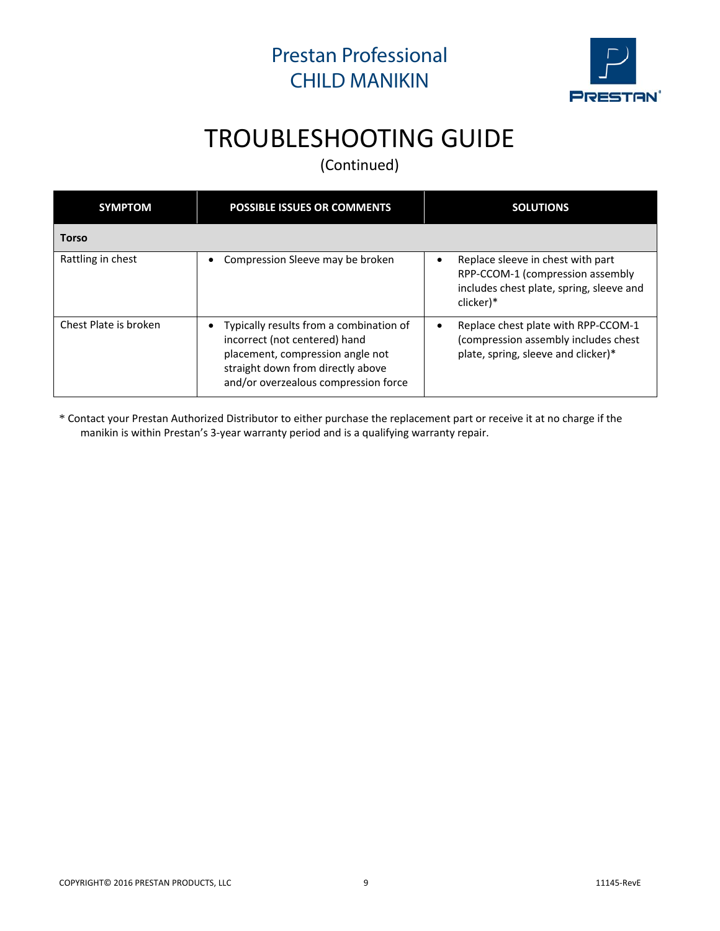

# TROUBLESHOOTING GUIDE

(Continued)

| <b>SYMPTOM</b>        | <b>POSSIBLE ISSUES OR COMMENTS</b>                                                                                                                                                                     | <b>SOLUTIONS</b>                                                                                                               |  |
|-----------------------|--------------------------------------------------------------------------------------------------------------------------------------------------------------------------------------------------------|--------------------------------------------------------------------------------------------------------------------------------|--|
| <b>Torso</b>          |                                                                                                                                                                                                        |                                                                                                                                |  |
| Rattling in chest     | Compression Sleeve may be broken<br>$\bullet$                                                                                                                                                          | Replace sleeve in chest with part<br>RPP-CCOM-1 (compression assembly<br>includes chest plate, spring, sleeve and<br>clicker)* |  |
| Chest Plate is broken | Typically results from a combination of<br>$\bullet$<br>incorrect (not centered) hand<br>placement, compression angle not<br>straight down from directly above<br>and/or overzealous compression force | Replace chest plate with RPP-CCOM-1<br>(compression assembly includes chest<br>plate, spring, sleeve and clicker)*             |  |

\* Contact your Prestan Authorized Distributor to either purchase the replacement part or receive it at no charge if the manikin is within Prestan's 3‐year warranty period and is a qualifying warranty repair.